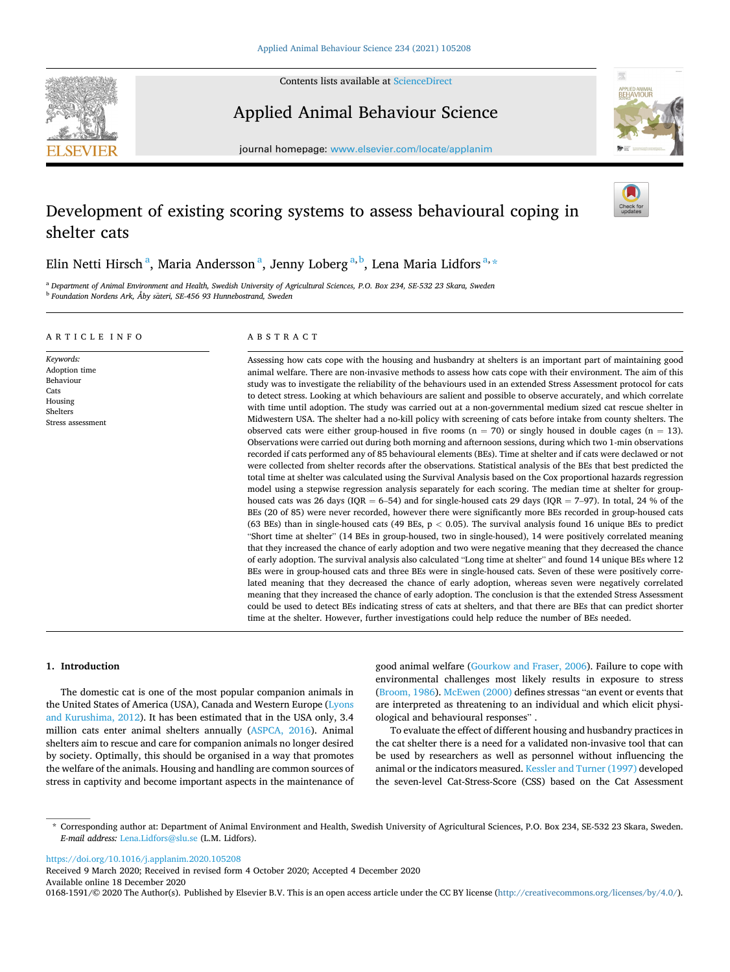**SEVIER** 



Applied Animal Behaviour Science



journal homepage: [www.elsevier.com/locate/applanim](https://www.elsevier.com/locate/applanim)

# Development of existing scoring systems to assess behavioural coping in shelter cats



<sup>a</sup> *Department of Animal Environment and Health, Swedish University of Agricultural Sciences, P.O. Box 234, SE-532 23 Skara, Sweden* <sup>b</sup> Foundation Nordens Ark, Åby säteri, SE-456 93 Hunnebostrand, Sweden

## ARTICLE INFO

*Keywords:*  Adoption time Behaviour **Cats** Housing Shelters Stress assessment

# ABSTRACT

Assessing how cats cope with the housing and husbandry at shelters is an important part of maintaining good animal welfare. There are non-invasive methods to assess how cats cope with their environment. The aim of this study was to investigate the reliability of the behaviours used in an extended Stress Assessment protocol for cats to detect stress. Looking at which behaviours are salient and possible to observe accurately, and which correlate with time until adoption. The study was carried out at a non-governmental medium sized cat rescue shelter in Midwestern USA. The shelter had a no-kill policy with screening of cats before intake from county shelters. The observed cats were either group-housed in five rooms ( $n = 70$ ) or singly housed in double cages ( $n = 13$ ). Observations were carried out during both morning and afternoon sessions, during which two 1-min observations recorded if cats performed any of 85 behavioural elements (BEs). Time at shelter and if cats were declawed or not were collected from shelter records after the observations. Statistical analysis of the BEs that best predicted the total time at shelter was calculated using the Survival Analysis based on the Cox proportional hazards regression model using a stepwise regression analysis separately for each scoring. The median time at shelter for grouphoused cats was 26 days (IQR = 6–54) and for single-housed cats 29 days (IQR = 7–97). In total, 24 % of the BEs (20 of 85) were never recorded, however there were significantly more BEs recorded in group-housed cats (63 BEs) than in single-housed cats (49 BEs, p *<* 0.05). The survival analysis found 16 unique BEs to predict "Short time at shelter" (14 BEs in group-housed, two in single-housed), 14 were positively correlated meaning that they increased the chance of early adoption and two were negative meaning that they decreased the chance of early adoption. The survival analysis also calculated "Long time at shelter" and found 14 unique BEs where 12 BEs were in group-housed cats and three BEs were in single-housed cats. Seven of these were positively correlated meaning that they decreased the chance of early adoption, whereas seven were negatively correlated meaning that they increased the chance of early adoption. The conclusion is that the extended Stress Assessment could be used to detect BEs indicating stress of cats at shelters, and that there are BEs that can predict shorter time at the shelter. However, further investigations could help reduce the number of BEs needed.

# **1. Introduction**

The domestic cat is one of the most popular companion animals in the United States of America (USA), Canada and Western Europe [\(Lyons](#page-8-0)  [and Kurushima, 2012](#page-8-0)). It has been estimated that in the USA only, 3.4 million cats enter animal shelters annually ([ASPCA, 2016\)](#page-8-0). Animal shelters aim to rescue and care for companion animals no longer desired by society. Optimally, this should be organised in a way that promotes the welfare of the animals. Housing and handling are common sources of stress in captivity and become important aspects in the maintenance of good animal welfare [\(Gourkow and Fraser, 2006\)](#page-8-0). Failure to cope with environmental challenges most likely results in exposure to stress ([Broom, 1986](#page-8-0)). [McEwen \(2000\)](#page-8-0) defines stressas "an event or events that are interpreted as threatening to an individual and which elicit physiological and behavioural responses" .

To evaluate the effect of different housing and husbandry practices in the cat shelter there is a need for a validated non-invasive tool that can be used by researchers as well as personnel without influencing the animal or the indicators measured. [Kessler and Turner \(1997\)](#page-8-0) developed the seven-level Cat-Stress-Score (CSS) based on the Cat Assessment

<https://doi.org/10.1016/j.applanim.2020.105208>

Available online 18 December 2020 Received 9 March 2020; Received in revised form 4 October 2020; Accepted 4 December 2020

0168-1591/© 2020 The Author(s). Published by Elsevier B.V. This is an open access article under the CC BY license [\(http://creativecommons.org/licenses/by/4.0/\)](http://creativecommons.org/licenses/by/4.0/).

<sup>\*</sup> Corresponding author at: Department of Animal Environment and Health, Swedish University of Agricultural Sciences, P.O. Box 234, SE-532 23 Skara, Sweden. *E-mail address:* [Lena.Lidfors@slu.se](mailto:Lena.Lidfors@slu.se) (L.M. Lidfors).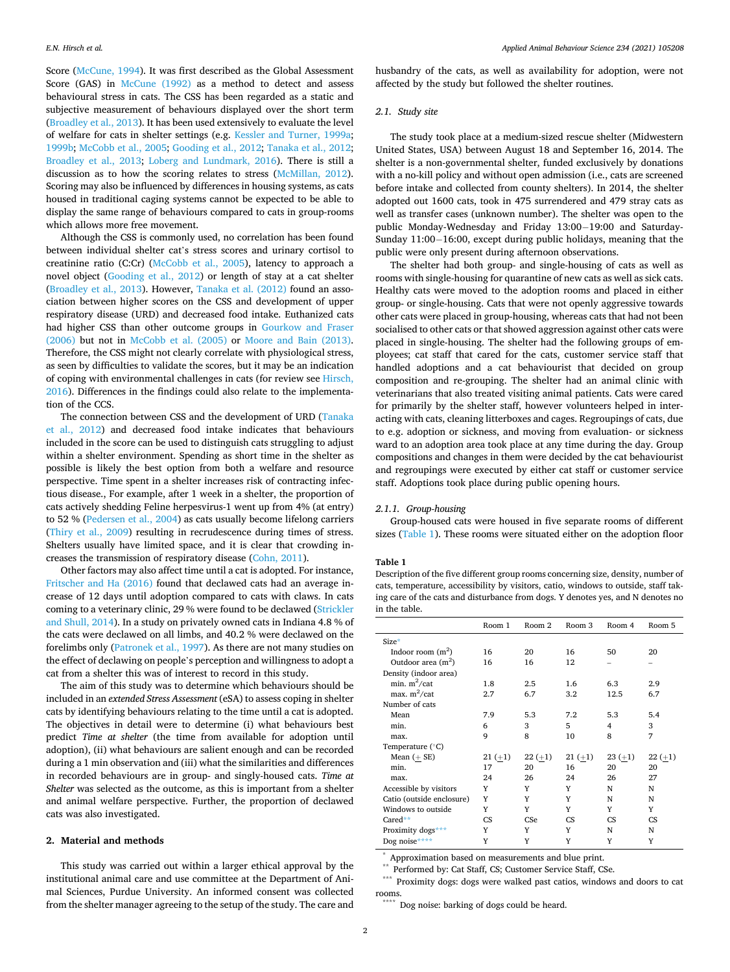<span id="page-1-0"></span>Score ([McCune, 1994](#page-8-0)). It was first described as the Global Assessment Score (GAS) in [McCune \(1992\)](#page-8-0) as a method to detect and assess behavioural stress in cats. The CSS has been regarded as a static and subjective measurement of behaviours displayed over the short term ([Broadley et al., 2013\)](#page-8-0). It has been used extensively to evaluate the level of welfare for cats in shelter settings (e.g. [Kessler and Turner, 1999a](#page-8-0); [1999b;](#page-8-0) [McCobb et al., 2005](#page-8-0); [Gooding et al., 2012](#page-8-0); [Tanaka et al., 2012](#page-8-0); [Broadley et al., 2013](#page-8-0); [Loberg and Lundmark, 2016\)](#page-8-0). There is still a discussion as to how the scoring relates to stress [\(McMillan, 2012](#page-8-0)). Scoring may also be influenced by differences in housing systems, as cats housed in traditional caging systems cannot be expected to be able to display the same range of behaviours compared to cats in group-rooms which allows more free movement.

Although the CSS is commonly used, no correlation has been found between individual shelter cat's stress scores and urinary cortisol to creatinine ratio (C:Cr) ([McCobb et al., 2005\)](#page-8-0), latency to approach a novel object [\(Gooding et al., 2012](#page-8-0)) or length of stay at a cat shelter ([Broadley et al., 2013\)](#page-8-0). However, [Tanaka et al. \(2012\)](#page-8-0) found an association between higher scores on the CSS and development of upper respiratory disease (URD) and decreased food intake. Euthanized cats had higher CSS than other outcome groups in [Gourkow and Fraser](#page-8-0)  [\(2006\)](#page-8-0) but not in [McCobb et al. \(2005\)](#page-8-0) or [Moore and Bain \(2013\)](#page-8-0). Therefore, the CSS might not clearly correlate with physiological stress, as seen by difficulties to validate the scores, but it may be an indication of coping with environmental challenges in cats (for review see [Hirsch,](#page-8-0)  [2016\)](#page-8-0). Differences in the findings could also relate to the implementation of the CCS.

The connection between CSS and the development of URD ([Tanaka](#page-8-0)  [et al., 2012\)](#page-8-0) and decreased food intake indicates that behaviours included in the score can be used to distinguish cats struggling to adjust within a shelter environment. Spending as short time in the shelter as possible is likely the best option from both a welfare and resource perspective. Time spent in a shelter increases risk of contracting infectious disease., For example, after 1 week in a shelter, the proportion of cats actively shedding Feline herpesvirus-1 went up from 4% (at entry) to 52 % ([Pedersen et al., 2004\)](#page-8-0) as cats usually become lifelong carriers ([Thiry et al., 2009\)](#page-8-0) resulting in recrudescence during times of stress. Shelters usually have limited space, and it is clear that crowding increases the transmission of respiratory disease [\(Cohn, 2011](#page-8-0)).

Other factors may also affect time until a cat is adopted. For instance, [Fritscher and Ha \(2016\)](#page-8-0) found that declawed cats had an average increase of 12 days until adoption compared to cats with claws. In cats coming to a veterinary clinic, 29 % were found to be declawed ([Strickler](#page-8-0)  [and Shull, 2014\)](#page-8-0). In a study on privately owned cats in Indiana 4.8 % of the cats were declawed on all limbs, and 40.2 % were declawed on the forelimbs only [\(Patronek et al., 1997\)](#page-8-0). As there are not many studies on the effect of declawing on people's perception and willingness to adopt a cat from a shelter this was of interest to record in this study.

The aim of this study was to determine which behaviours should be included in an *extended Stress Assessment* (eSA) to assess coping in shelter cats by identifying behaviours relating to the time until a cat is adopted. The objectives in detail were to determine (i) what behaviours best predict *Time at shelter* (the time from available for adoption until adoption), (ii) what behaviours are salient enough and can be recorded during a 1 min observation and (iii) what the similarities and differences in recorded behaviours are in group- and singly-housed cats. *Time at Shelter* was selected as the outcome, as this is important from a shelter and animal welfare perspective. Further, the proportion of declawed cats was also investigated.

# **2. Material and methods**

This study was carried out within a larger ethical approval by the institutional animal care and use committee at the Department of Animal Sciences, Purdue University. An informed consent was collected from the shelter manager agreeing to the setup of the study. The care and husbandry of the cats, as well as availability for adoption, were not affected by the study but followed the shelter routines.

# *2.1. Study site*

The study took place at a medium-sized rescue shelter (Midwestern United States, USA) between August 18 and September 16, 2014. The shelter is a non-governmental shelter, funded exclusively by donations with a no-kill policy and without open admission (i.e., cats are screened before intake and collected from county shelters). In 2014, the shelter adopted out 1600 cats, took in 475 surrendered and 479 stray cats as well as transfer cases (unknown number). The shelter was open to the public Monday-Wednesday and Friday 13:00− 19:00 and Saturday-Sunday 11:00− 16:00, except during public holidays, meaning that the public were only present during afternoon observations.

The shelter had both group- and single-housing of cats as well as rooms with single-housing for quarantine of new cats as well as sick cats. Healthy cats were moved to the adoption rooms and placed in either group- or single-housing. Cats that were not openly aggressive towards other cats were placed in group-housing, whereas cats that had not been socialised to other cats or that showed aggression against other cats were placed in single-housing. The shelter had the following groups of employees; cat staff that cared for the cats, customer service staff that handled adoptions and a cat behaviourist that decided on group composition and re-grouping. The shelter had an animal clinic with veterinarians that also treated visiting animal patients. Cats were cared for primarily by the shelter staff, however volunteers helped in interacting with cats, cleaning litterboxes and cages. Regroupings of cats, due to e.g. adoption or sickness, and moving from evaluation- or sickness ward to an adoption area took place at any time during the day. Group compositions and changes in them were decided by the cat behaviourist and regroupings were executed by either cat staff or customer service staff. Adoptions took place during public opening hours.

## *2.1.1. Group-housing*

Group-housed cats were housed in five separate rooms of different sizes (Table 1). These rooms were situated either on the adoption floor

#### **Table 1**

Description of the five different group rooms concerning size, density, number of cats, temperature, accessibility by visitors, catio, windows to outside, staff taking care of the cats and disturbance from dogs. Y denotes yes, and N denotes no in the table.

|                           | Room 1    | Room 2    | Room 3    | Room 4         | Room 5    |
|---------------------------|-----------|-----------|-----------|----------------|-----------|
| Size*                     |           |           |           |                |           |
| Indoor room $(m^2)$       | 16        | 20        | 16        | 50             | 20        |
| Outdoor area $(m^2)$      | 16        | 16        | 12        |                |           |
| Density (indoor area)     |           |           |           |                |           |
| min. $m^2$ /cat           | 1.8       | 2.5       | 1.6       | 6.3            | 2.9       |
| max. $m^2$ /cat           | 2.7       | 6.7       | 3.2       | 12.5           | 6.7       |
| Number of cats            |           |           |           |                |           |
| Mean                      | 7.9       | 5.3       | 7.2       | 5.3            | 5.4       |
| min.                      | 6         | 3         | 5         | $\overline{4}$ | 3         |
| max.                      | 9         | 8         | 10        | 8              | 7         |
| Temperature $(^{\circ}C)$ |           |           |           |                |           |
| Mean $(+$ SE)             | $21 (+1)$ | $22 (+1)$ | $21 (+1)$ | $23 (+1)$      | $22 (+1)$ |
| min.                      | 17        | 20        | 16        | 20             | 20        |
| max.                      | 24        | 26        | 24        | 26             | 27        |
| Accessible by visitors    | Y         | Y         | Y         | N              | N         |
| Catio (outside enclosure) | Y         | Y         | Y         | N              | N         |
| Windows to outside        | Y         | Y         | Y         | Y              | Y         |
| Cared**                   | <b>CS</b> | CSe       | <b>CS</b> | CS             | <b>CS</b> |
| Proximity dogs***         | Y         | Y         | Y         | N              | N         |
| Dog noise****             | Y         | Y         | Y         | Y              | Y         |

\* Approximation based on measurements and blue print. \*\* Performed by: Cat Staff, CS; Customer Service Staff, CSe. \*\*\* Proximity dogs: dogs were walked past catios, windows and doors to cat rooms.

Dog noise: barking of dogs could be heard.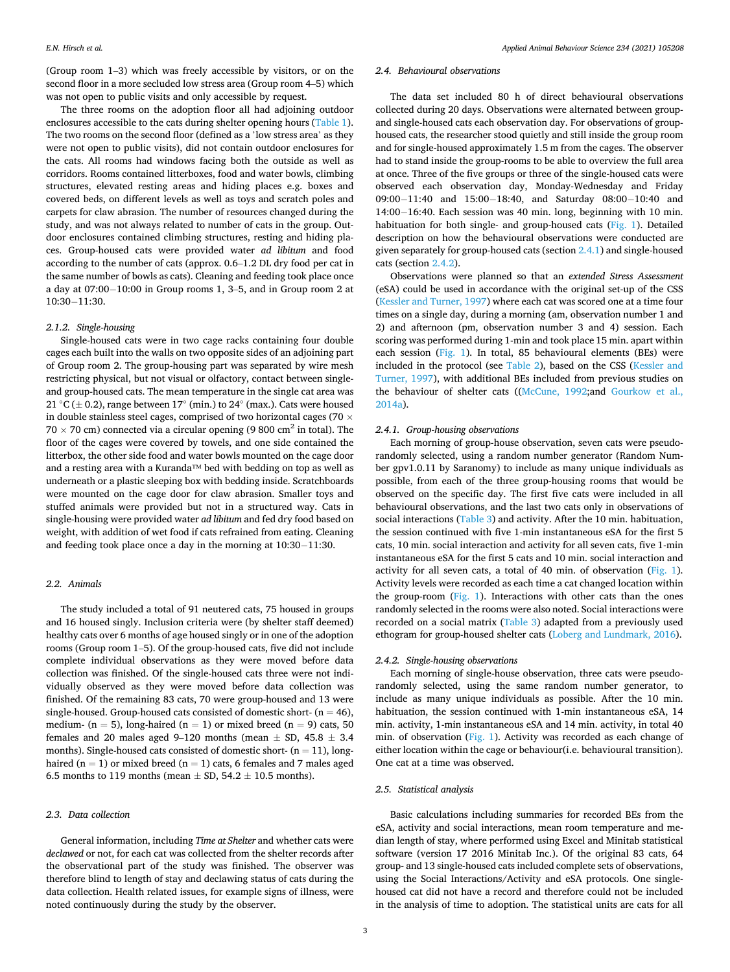(Group room 1–3) which was freely accessible by visitors, or on the second floor in a more secluded low stress area (Group room 4–5) which was not open to public visits and only accessible by request.

The three rooms on the adoption floor all had adjoining outdoor enclosures accessible to the cats during shelter opening hours [\(Table 1](#page-1-0)). The two rooms on the second floor (defined as a 'low stress area' as they were not open to public visits), did not contain outdoor enclosures for the cats. All rooms had windows facing both the outside as well as corridors. Rooms contained litterboxes, food and water bowls, climbing structures, elevated resting areas and hiding places e.g. boxes and covered beds, on different levels as well as toys and scratch poles and carpets for claw abrasion. The number of resources changed during the study, and was not always related to number of cats in the group. Outdoor enclosures contained climbing structures, resting and hiding places. Group-housed cats were provided water *ad libitum* and food according to the number of cats (approx. 0.6–1.2 DL dry food per cat in the same number of bowls as cats). Cleaning and feeding took place once a day at 07:00− 10:00 in Group rooms 1, 3–5, and in Group room 2 at 10:30− 11:30.

#### *2.1.2. Single-housing*

Single-housed cats were in two cage racks containing four double cages each built into the walls on two opposite sides of an adjoining part of Group room 2. The group-housing part was separated by wire mesh restricting physical, but not visual or olfactory, contact between singleand group-housed cats. The mean temperature in the single cat area was 21 °C ( $\pm$  0.2), range between 17° (min.) to 24° (max.). Cats were housed in double stainless steel cages, comprised of two horizontal cages (70  $\times$  $70 \times 70$  cm) connected via a circular opening (9 800 cm<sup>2</sup> in total). The floor of the cages were covered by towels, and one side contained the litterbox, the other side food and water bowls mounted on the cage door and a resting area with a Kuranda™ bed with bedding on top as well as underneath or a plastic sleeping box with bedding inside. Scratchboards were mounted on the cage door for claw abrasion. Smaller toys and stuffed animals were provided but not in a structured way. Cats in single-housing were provided water *ad libitum* and fed dry food based on weight, with addition of wet food if cats refrained from eating. Cleaning and feeding took place once a day in the morning at 10:30− 11:30.

#### *2.2. Animals*

The study included a total of 91 neutered cats, 75 housed in groups and 16 housed singly. Inclusion criteria were (by shelter staff deemed) healthy cats over 6 months of age housed singly or in one of the adoption rooms (Group room 1–5). Of the group-housed cats, five did not include complete individual observations as they were moved before data collection was finished. Of the single-housed cats three were not individually observed as they were moved before data collection was finished. Of the remaining 83 cats, 70 were group-housed and 13 were single-housed. Group-housed cats consisted of domestic short-  $(n = 46)$ , medium- ( $n = 5$ ), long-haired ( $n = 1$ ) or mixed breed ( $n = 9$ ) cats, 50 females and 20 males aged 9-120 months (mean  $\pm$  SD, 45.8  $\pm$  3.4 months). Single-housed cats consisted of domestic short-  $(n = 11)$ , longhaired (n = 1) or mixed breed (n = 1) cats, 6 females and 7 males aged 6.5 months to 119 months (mean  $\pm$  SD, 54.2  $\pm$  10.5 months).

#### *2.3. Data collection*

General information, including *Time at Shelter* and whether cats were *declawed* or not, for each cat was collected from the shelter records after the observational part of the study was finished. The observer was therefore blind to length of stay and declawing status of cats during the data collection. Health related issues, for example signs of illness, were noted continuously during the study by the observer.

# *2.4. Behavioural observations*

The data set included 80 h of direct behavioural observations collected during 20 days. Observations were alternated between groupand single-housed cats each observation day. For observations of grouphoused cats, the researcher stood quietly and still inside the group room and for single-housed approximately 1.5 m from the cages. The observer had to stand inside the group-rooms to be able to overview the full area at once. Three of the five groups or three of the single-housed cats were observed each observation day, Monday-Wednesday and Friday 09:00− 11:40 and 15:00− 18:40, and Saturday 08:00− 10:40 and 14:00− 16:40. Each session was 40 min. long, beginning with 10 min. habituation for both single- and group-housed cats ([Fig. 1\)](#page-3-0). Detailed description on how the behavioural observations were conducted are given separately for group-housed cats (section 2.4.1) and single-housed cats (section 2.4.2).

Observations were planned so that an *extended Stress Assessment*  (eSA) could be used in accordance with the original set-up of the CSS ([Kessler and Turner, 1997](#page-8-0)) where each cat was scored one at a time four times on a single day, during a morning (am, observation number 1 and 2) and afternoon (pm, observation number 3 and 4) session. Each scoring was performed during 1-min and took place 15 min. apart within each session ([Fig. 1](#page-3-0)). In total, 85 behavioural elements (BEs) were included in the protocol (see [Table 2](#page-4-0)), based on the CSS ([Kessler and](#page-8-0)  [Turner, 1997\)](#page-8-0), with additional BEs included from previous studies on the behaviour of shelter cats (([McCune, 1992](#page-8-0);and [Gourkow et al.,](#page-8-0)  [2014a\)](#page-8-0).

#### *2.4.1. Group-housing observations*

Each morning of group-house observation, seven cats were pseudorandomly selected, using a random number generator (Random Number gpv1.0.11 by Saranomy) to include as many unique individuals as possible, from each of the three group-housing rooms that would be observed on the specific day. The first five cats were included in all behavioural observations, and the last two cats only in observations of social interactions [\(Table 3](#page-4-0)) and activity. After the 10 min. habituation, the session continued with five 1-min instantaneous eSA for the first 5 cats, 10 min. social interaction and activity for all seven cats, five 1-min instantaneous eSA for the first 5 cats and 10 min. social interaction and activity for all seven cats, a total of 40 min. of observation [\(Fig. 1](#page-3-0)). Activity levels were recorded as each time a cat changed location within the group-room [\(Fig. 1\)](#page-3-0). Interactions with other cats than the ones randomly selected in the rooms were also noted. Social interactions were recorded on a social matrix [\(Table 3](#page-4-0)) adapted from a previously used ethogram for group-housed shelter cats ([Loberg and Lundmark, 2016](#page-8-0)).

# *2.4.2. Single-housing observations*

Each morning of single-house observation, three cats were pseudorandomly selected, using the same random number generator, to include as many unique individuals as possible. After the 10 min. habituation, the session continued with 1-min instantaneous eSA, 14 min. activity, 1-min instantaneous eSA and 14 min. activity, in total 40 min. of observation ([Fig. 1](#page-3-0)). Activity was recorded as each change of either location within the cage or behaviour(i.e. behavioural transition). One cat at a time was observed.

#### *2.5. Statistical analysis*

Basic calculations including summaries for recorded BEs from the eSA, activity and social interactions, mean room temperature and median length of stay, where performed using Excel and Minitab statistical software (version 17 2016 Minitab Inc.). Of the original 83 cats, 64 group- and 13 single-housed cats included complete sets of observations, using the Social Interactions/Activity and eSA protocols. One singlehoused cat did not have a record and therefore could not be included in the analysis of time to adoption. The statistical units are cats for all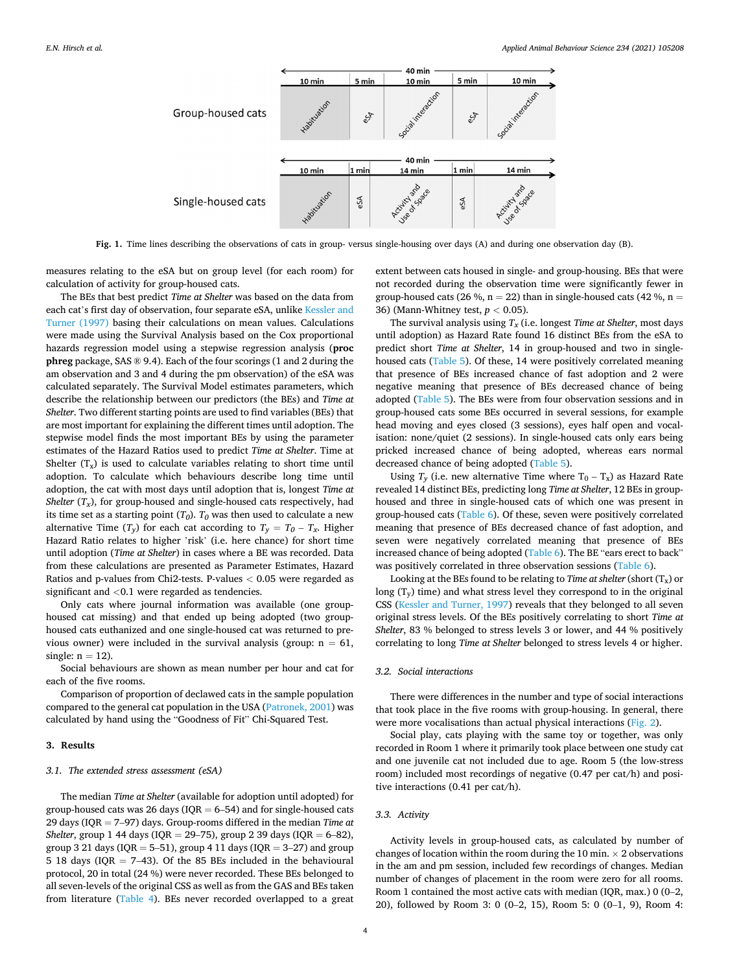<span id="page-3-0"></span>

**Fig. 1.** Time lines describing the observations of cats in group- versus single-housing over days (A) and during one observation day (B).

measures relating to the eSA but on group level (for each room) for calculation of activity for group-housed cats.

The BEs that best predict *Time at Shelter* was based on the data from each cat's first day of observation, four separate eSA, unlike [Kessler and](#page-8-0)  [Turner \(1997\)](#page-8-0) basing their calculations on mean values. Calculations were made using the Survival Analysis based on the Cox proportional hazards regression model using a stepwise regression analysis (**proc phreg** package, SAS ® 9.4). Each of the four scorings (1 and 2 during the am observation and 3 and 4 during the pm observation) of the eSA was calculated separately. The Survival Model estimates parameters, which describe the relationship between our predictors (the BEs) and *Time at Shelter*. Two different starting points are used to find variables (BEs) that are most important for explaining the different times until adoption. The stepwise model finds the most important BEs by using the parameter estimates of the Hazard Ratios used to predict *Time at Shelter*. Time at Shelter  $(T_x)$  is used to calculate variables relating to short time until adoption. To calculate which behaviours describe long time until adoption, the cat with most days until adoption that is, longest *Time at Shelter*  $(T_x)$ , for group-housed and single-housed cats respectively, had its time set as a starting point  $(T_0)$ .  $T_0$  was then used to calculate a new alternative Time  $(T_v)$  for each cat according to  $T_v = T_0 - T_x$ . Higher Hazard Ratio relates to higher 'risk' (i.e. here chance) for short time until adoption (*Time at Shelter*) in cases where a BE was recorded. Data from these calculations are presented as Parameter Estimates, Hazard Ratios and p-values from Chi2-tests. P-values *<* 0.05 were regarded as significant and *<*0.1 were regarded as tendencies.

Only cats where journal information was available (one grouphoused cat missing) and that ended up being adopted (two grouphoused cats euthanized and one single-housed cat was returned to previous owner) were included in the survival analysis (group:  $n = 61$ , single:  $n = 12$ ).

Social behaviours are shown as mean number per hour and cat for each of the five rooms.

Comparison of proportion of declawed cats in the sample population compared to the general cat population in the USA [\(Patronek, 2001](#page-8-0)) was calculated by hand using the "Goodness of Fit" Chi-Squared Test.

# **3. Results**

## *3.1. The extended stress assessment (eSA)*

The median *Time at Shelter* (available for adoption until adopted) for group-housed cats was 26 days ( $IQR = 6-54$ ) and for single-housed cats 29 days (IQR = 7–97) days. Group-rooms differed in the median *Time at Shelter*, group 1 44 days (IQR = 29–75), group 2 39 days (IQR = 6–82), group 3 21 days ( $IQR = 5-51$ ), group 4 11 days ( $IQR = 3-27$ ) and group 5 18 days (IQR = 7–43). Of the 85 BEs included in the behavioural protocol, 20 in total (24 %) were never recorded. These BEs belonged to all seven-levels of the original CSS as well as from the GAS and BEs taken from literature ([Table 4\)](#page-5-0). BEs never recorded overlapped to a great

extent between cats housed in single- and group-housing. BEs that were not recorded during the observation time were significantly fewer in group-housed cats (26 %,  $n = 22$ ) than in single-housed cats (42 %,  $n =$ 36) (Mann-Whitney test, *p <* 0.05).

The survival analysis using  $T_x$  (i.e. longest *Time at Shelter*, most days until adoption) as Hazard Rate found 16 distinct BEs from the eSA to predict short *Time at Shelter*, 14 in group-housed and two in singlehoused cats [\(Table 5\)](#page-5-0). Of these, 14 were positively correlated meaning that presence of BEs increased chance of fast adoption and 2 were negative meaning that presence of BEs decreased chance of being adopted [\(Table 5\)](#page-5-0). The BEs were from four observation sessions and in group-housed cats some BEs occurred in several sessions, for example head moving and eyes closed (3 sessions), eyes half open and vocalisation: none/quiet (2 sessions). In single-housed cats only ears being pricked increased chance of being adopted, whereas ears normal decreased chance of being adopted ([Table 5](#page-5-0)).

Using  $T_y$  (i.e. new alternative Time where  $T_0 - T_x$ ) as Hazard Rate revealed 14 distinct BEs, predicting long *Time at Shelter*, 12 BEs in grouphoused and three in single-housed cats of which one was present in group-housed cats [\(Table 6\)](#page-6-0). Of these, seven were positively correlated meaning that presence of BEs decreased chance of fast adoption, and seven were negatively correlated meaning that presence of BEs increased chance of being adopted [\(Table 6\)](#page-6-0). The BE "ears erect to back" was positively correlated in three observation sessions ([Table 6](#page-6-0)).

Looking at the BEs found to be relating to *Time at shelter* (short  $(T_x)$  or long  $(T_v)$  time) and what stress level they correspond to in the original CSS [\(Kessler and Turner, 1997](#page-8-0)) reveals that they belonged to all seven original stress levels. Of the BEs positively correlating to short *Time at Shelter*, 83 % belonged to stress levels 3 or lower, and 44 % positively correlating to long *Time at Shelter* belonged to stress levels 4 or higher.

# *3.2. Social interactions*

There were differences in the number and type of social interactions that took place in the five rooms with group-housing. In general, there were more vocalisations than actual physical interactions ([Fig. 2](#page-6-0)).

Social play, cats playing with the same toy or together, was only recorded in Room 1 where it primarily took place between one study cat and one juvenile cat not included due to age. Room 5 (the low-stress room) included most recordings of negative (0.47 per cat/h) and positive interactions (0.41 per cat/h).

# *3.3. Activity*

Activity levels in group-housed cats, as calculated by number of changes of location within the room during the 10 min.  $\times$  2 observations in the am and pm session, included few recordings of changes. Median number of changes of placement in the room were zero for all rooms. Room 1 contained the most active cats with median (IQR, max.) 0 (0–2, 20), followed by Room 3: 0 (0–2, 15), Room 5: 0 (0–1, 9), Room 4: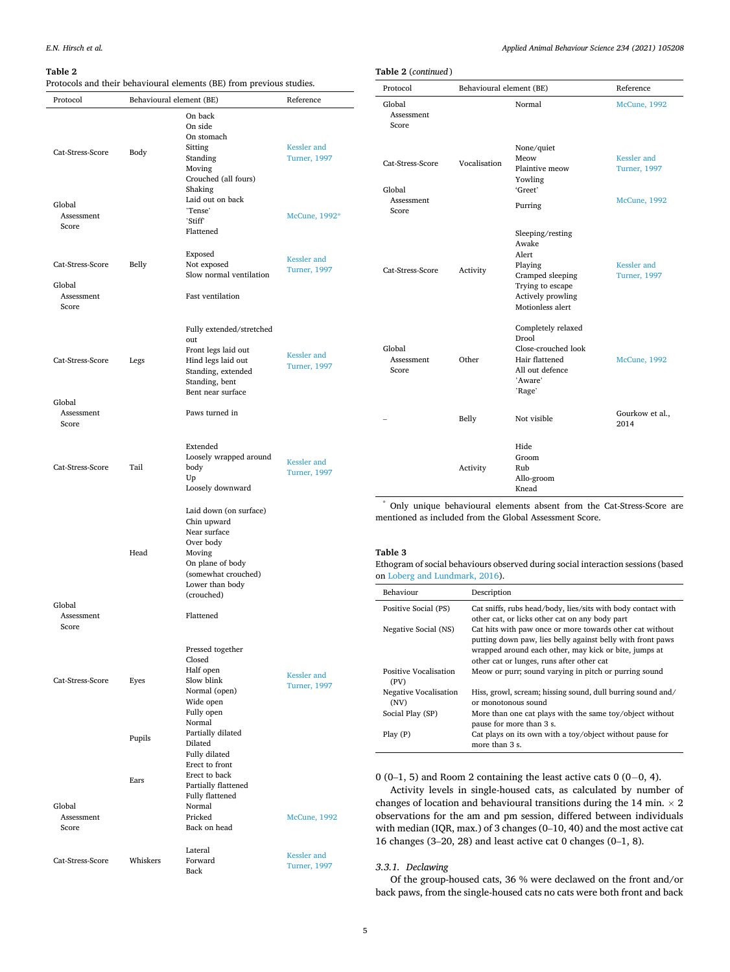Protocol Behavioural

Cat-Stress-Score Body

Cat-Stress-Score Belly

Cat-Stress-Score Legs

Cat-Stress-Score Tail

Cat-Stress-Score Eyes

Cat-Stress-Score Whiskers

Head

Pupils

Ears

Laid down (on surface) Chin upward Near surface Over body Moving On plane of body (somewhat crouched) Lower than body (crouched)

Flattened

Closed Half open Slow blink Normal (open) Wide open Fully open

Normal Partially dilated Dilated Fully dilated

Normal

Back

Erect to front Erect to back Partially flattened Fully flattened

Back on head

Lateral [Kessler and](#page-8-0) Forward

Pressed together

[Kessler and](#page-8-0) [Turner, 1997](#page-8-0)

[McCune, 1992](#page-8-0)

[Turner, 1997](#page-8-0)

#### <span id="page-4-0"></span>**Table 2**

Global Assessment Score

Global Assessment Score

Global Assessment Score

Global Assessment Score

Global Assessment Score

Protocols and their behavioural  $\epsilon$ 

| elements (BE) from previous studies.                                                                                                      |                                                             | Protocol                                          |              | Behavioural element (BE)                                                                                                       | Reference                                                          |  |
|-------------------------------------------------------------------------------------------------------------------------------------------|-------------------------------------------------------------|---------------------------------------------------|--------------|--------------------------------------------------------------------------------------------------------------------------------|--------------------------------------------------------------------|--|
| element (BE)<br>On back<br>On side                                                                                                        | Reference                                                   | Global<br>Assessment<br>Score                     |              | Normal                                                                                                                         | <b>McCune</b> , 1992                                               |  |
| On stomach<br>Sitting<br>Standing<br>Moving<br>Crouched (all fours)<br>Shaking<br>Laid out on back<br>'Tense'<br>'Stiff'                  | <b>Kessler</b> and<br><b>Turner</b> , 1997<br>McCune, 1992* | Cat-Stress-Score<br>Global<br>Assessment<br>Score | Vocalisation | None/quiet<br>Meow<br>Plaintive meow<br>Yowling<br>'Greet'<br>Purring                                                          | <b>Kessler</b> and<br><b>Turner</b> , 1997<br><b>McCune</b> , 1992 |  |
| Flattened<br>Exposed<br>Not exposed<br>Slow normal ventilation<br>Fast ventilation                                                        | <b>Kessler</b> and<br><b>Turner</b> , 1997                  | Cat-Stress-Score                                  | Activity     | Sleeping/resting<br>Awake<br>Alert<br>Playing<br>Cramped sleeping<br>Trying to escape<br>Actively prowling<br>Motionless alert | <b>Kessler</b> and<br><b>Turner</b> , 1997                         |  |
| Fully extended/stretched<br>out<br>Front legs laid out<br>Hind legs laid out<br>Standing, extended<br>Standing, bent<br>Bent near surface | <b>Kessler</b> and<br><b>Turner</b> , 1997                  | Global<br>Assessment<br>Score                     | Other        | Completely relaxed<br>Drool<br>Close-crouched look<br>Hair flattened<br>All out defence<br>'Aware'<br>'Rage'                   | <b>McCune</b> , 1992                                               |  |
| Paws turned in                                                                                                                            |                                                             |                                                   | Belly        | Not visible                                                                                                                    | Gourkow et al.,<br>2014                                            |  |
| Extended<br>Loosely wrapped around<br>body<br>Up<br>Loosely downward                                                                      | <b>Kessler</b> and<br><b>Turner</b> , 1997                  |                                                   | Activity     | Hide<br>Groom<br>Rub<br>Allo-groom<br>Knead                                                                                    |                                                                    |  |

**Table 2** (*continued* )

Only unique behavioural elements absent from the Cat-Stress-Score are mentioned as included from the Global Assessment Score.

# **Table 3**

Ethogram of social behaviours observed during social interaction sessions (based on [Loberg and Lundmark, 2016](#page-8-0)).

| Behaviour                            | Description                                                                                                                                                                                                                  |
|--------------------------------------|------------------------------------------------------------------------------------------------------------------------------------------------------------------------------------------------------------------------------|
| Positive Social (PS)                 | Cat sniffs, rubs head/body, lies/sits with body contact with<br>other cat, or licks other cat on any body part                                                                                                               |
| Negative Social (NS)                 | Cat hits with paw once or more towards other cat without<br>putting down paw, lies belly against belly with front paws<br>wrapped around each other, may kick or bite, jumps at<br>other cat or lunges, runs after other cat |
| Positive Vocalisation<br>(PV)        | Meow or purr; sound varying in pitch or purring sound                                                                                                                                                                        |
| <b>Negative Vocalisation</b><br>(NV) | Hiss, growl, scream; hissing sound, dull burring sound and/<br>or monotonous sound                                                                                                                                           |
| Social Play (SP)                     | More than one cat plays with the same toy/object without<br>pause for more than 3 s.                                                                                                                                         |
| Play(P)                              | Cat plays on its own with a toy/object without pause for<br>more than 3 s.                                                                                                                                                   |

0 (0–1, 5) and Room 2 containing the least active cats 0 (0− 0, 4).

Activity levels in single-housed cats, as calculated by number of changes of location and behavioural transitions during the 14 min.  $\times$  2 observations for the am and pm session, differed between individuals with median (IQR, max.) of 3 changes (0–10, 40) and the most active cat 16 changes (3–20, 28) and least active cat 0 changes (0–1, 8).

# *3.3.1. Declawing*

Of the group-housed cats, 36 % were declawed on the front and/or back paws, from the single-housed cats no cats were both front and back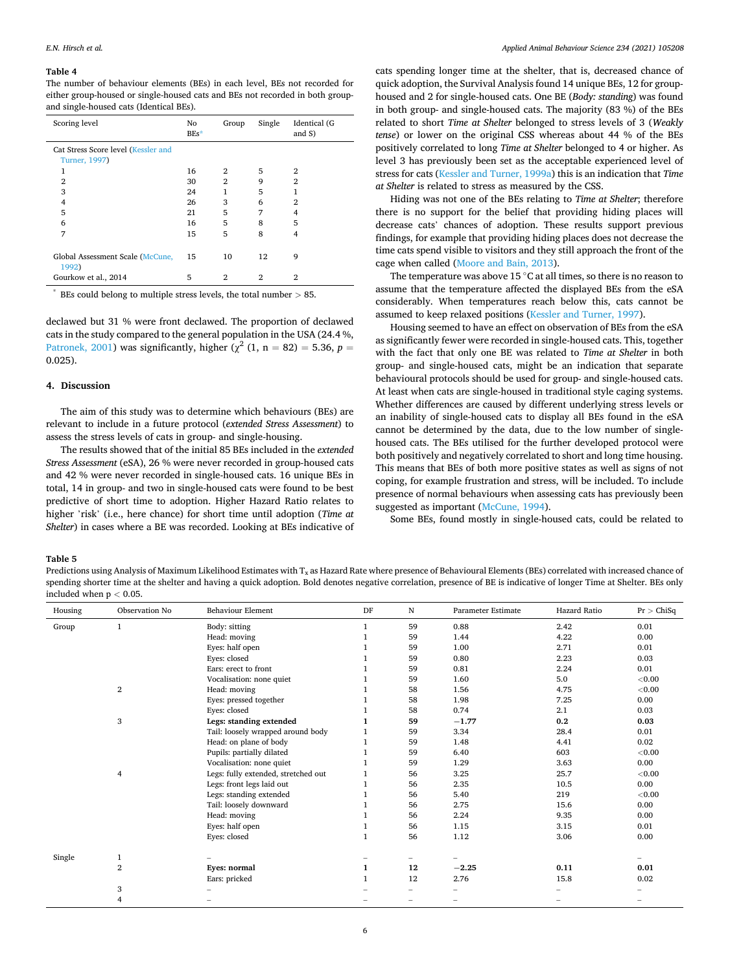#### <span id="page-5-0"></span>**Table 4**

The number of behaviour elements (BEs) in each level, BEs not recorded for either group-housed or single-housed cats and BEs not recorded in both groupand single-housed cats (Identical BEs).

| Scoring level                                        | No<br>$BEs*$ | Group          | Single | Identical (G<br>and $S$ ) |
|------------------------------------------------------|--------------|----------------|--------|---------------------------|
| Cat Stress Score level (Kessler and<br>Turner, 1997) |              |                |        |                           |
| 1                                                    | 16           | $\overline{2}$ | 5      | 2                         |
| $\overline{2}$                                       | 30           | $\overline{2}$ | 9      | $\overline{2}$            |
| 3                                                    | 24           | 1              | 5      | 1                         |
| 4                                                    | 26           | 3              | 6      | 2                         |
| 5                                                    | 21           | 5              | 7      | 4                         |
| 6                                                    | 16           | 5              | 8      | 5                         |
| 7                                                    | 15           | 5              | 8      | 4                         |
| Global Assessment Scale (McCune,<br>1992)            | 15           | 10             | 12     | 9                         |
| Gourkow et al., 2014                                 | 5            | 2              | 2      | 2                         |

\* BEs could belong to multiple stress levels, the total number *>* 85.

declawed but 31 % were front declawed. The proportion of declawed cats in the study compared to the general population in the USA (24.4 %, [Patronek, 2001](#page-8-0)) was significantly, higher ( $\chi^2$  (1, n = 82) = 5.36, p = 0.025).

#### **4. Discussion**

The aim of this study was to determine which behaviours (BEs) are relevant to include in a future protocol (*extended Stress Assessment*) to assess the stress levels of cats in group- and single-housing.

The results showed that of the initial 85 BEs included in the *extended Stress Assessment* (eSA), 26 % were never recorded in group-housed cats and 42 % were never recorded in single-housed cats. 16 unique BEs in total, 14 in group- and two in single-housed cats were found to be best predictive of short time to adoption. Higher Hazard Ratio relates to higher 'risk' (i.e., here chance) for short time until adoption (*Time at Shelter*) in cases where a BE was recorded. Looking at BEs indicative of

cats spending longer time at the shelter, that is, decreased chance of quick adoption, the Survival Analysis found 14 unique BEs, 12 for grouphoused and 2 for single-housed cats. One BE (*Body: standing*) was found in both group- and single-housed cats. The majority (83 %) of the BEs related to short *Time at Shelter* belonged to stress levels of 3 (*Weakly tense*) or lower on the original CSS whereas about 44 % of the BEs positively correlated to long *Time at Shelter* belonged to 4 or higher. As level 3 has previously been set as the acceptable experienced level of stress for cats [\(Kessler and Turner, 1999a](#page-8-0)) this is an indication that *Time at Shelter* is related to stress as measured by the CSS.

Hiding was not one of the BEs relating to *Time at Shelter*; therefore there is no support for the belief that providing hiding places will decrease cats' chances of adoption. These results support previous findings, for example that providing hiding places does not decrease the time cats spend visible to visitors and they still approach the front of the cage when called ([Moore and Bain, 2013\)](#page-8-0).

The temperature was above 15  $\degree$ C at all times, so there is no reason to assume that the temperature affected the displayed BEs from the eSA considerably. When temperatures reach below this, cats cannot be assumed to keep relaxed positions ([Kessler and Turner, 1997\)](#page-8-0).

Housing seemed to have an effect on observation of BEs from the eSA as significantly fewer were recorded in single-housed cats. This, together with the fact that only one BE was related to *Time at Shelter* in both group- and single-housed cats, might be an indication that separate behavioural protocols should be used for group- and single-housed cats. At least when cats are single-housed in traditional style caging systems. Whether differences are caused by different underlying stress levels or an inability of single-housed cats to display all BEs found in the eSA cannot be determined by the data, due to the low number of singlehoused cats. The BEs utilised for the further developed protocol were both positively and negatively correlated to short and long time housing. This means that BEs of both more positive states as well as signs of not coping, for example frustration and stress, will be included. To include presence of normal behaviours when assessing cats has previously been suggested as important [\(McCune, 1994\)](#page-8-0).

Some BEs, found mostly in single-housed cats, could be related to

#### **Table 5**

Predictions using Analysis of Maximum Likelihood Estimates with T<sub>x</sub> as Hazard Rate where presence of Behavioural Elements (BEs) correlated with increased chance of spending shorter time at the shelter and having a quick adoption. Bold denotes negative correlation, presence of BE is indicative of longer Time at Shelter. BEs only included when p *<* 0.05.

| Housing | Observation No   | <b>Behaviour Element</b>            | DF | N                        | Parameter Estimate | Hazard Ratio | Pr > ChiSq |
|---------|------------------|-------------------------------------|----|--------------------------|--------------------|--------------|------------|
| Group   | 1                | Body: sitting                       |    | 59                       | 0.88               | 2.42         | 0.01       |
|         |                  | Head: moving                        |    | 59                       | 1.44               | 4.22         | 0.00       |
|         |                  | Eyes: half open                     |    | 59                       | 1.00               | 2.71         | 0.01       |
|         |                  | Eyes: closed                        |    | 59                       | 0.80               | 2.23         | 0.03       |
|         |                  | Ears: erect to front                |    | 59                       | 0.81               | 2.24         | 0.01       |
|         |                  | Vocalisation: none quiet            |    | 59                       | 1.60               | 5.0          | ${<}0.00$  |
|         | 2                | Head: moving                        |    | 58                       | 1.56               | 4.75         | ${<}0.00$  |
|         |                  | Eyes: pressed together              |    | 58                       | 1.98               | 7.25         | 0.00       |
|         |                  | Eyes: closed                        |    | 58                       | 0.74               | 2.1          | 0.03       |
|         | 3                | Legs: standing extended             |    | 59                       | $-1.77$            | 0.2          | 0.03       |
|         |                  | Tail: loosely wrapped around body   |    | 59                       | 3.34               | 28.4         | 0.01       |
|         |                  | Head: on plane of body              |    | 59                       | 1.48               | 4.41         | 0.02       |
|         |                  | Pupils: partially dilated           |    | 59                       | 6.40               | 603          | ${<}0.00$  |
|         |                  | Vocalisation: none quiet            |    | 59                       | 1.29               | 3.63         | 0.00       |
|         | 4                | Legs: fully extended, stretched out |    | 56                       | 3.25               | 25.7         | < 0.00     |
|         |                  | Legs: front legs laid out           |    | 56                       | 2.35               | 10.5         | 0.00       |
|         |                  | Legs: standing extended             |    | 56                       | 5.40               | 219          | < 0.00     |
|         |                  | Tail: loosely downward              |    | 56                       | 2.75               | 15.6         | 0.00       |
|         |                  | Head: moving                        |    | 56                       | 2.24               | 9.35         | 0.00       |
|         |                  | Eyes: half open                     |    | 56                       | 1.15               | 3.15         | 0.01       |
|         |                  | Eyes: closed                        | 1  | 56                       | 1.12               | 3.06         | 0.00       |
| Single  | 1                |                                     |    | $\overline{\phantom{0}}$ |                    |              |            |
|         | $\boldsymbol{2}$ | Eyes: normal                        | 1  | 12                       | $-2.25$            | 0.11         | 0.01       |
|         |                  | Ears: pricked                       |    | 12                       | 2.76               | 15.8         | 0.02       |
|         | 3                |                                     |    |                          |                    |              |            |
|         | 4                |                                     |    |                          |                    |              |            |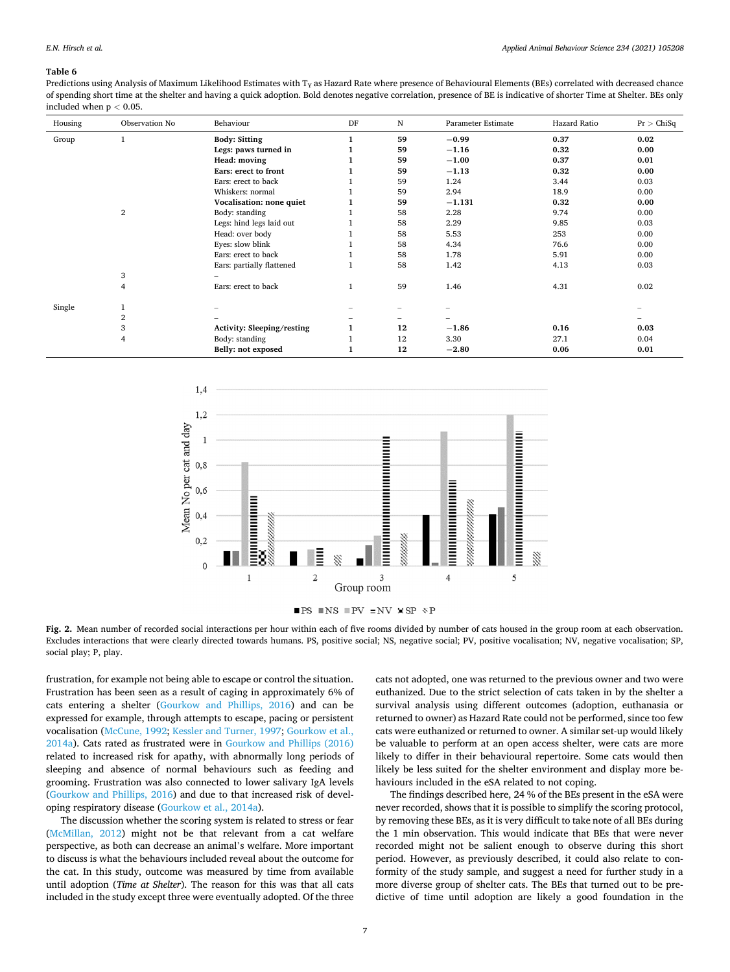#### <span id="page-6-0"></span>**Table 6**

Predictions using Analysis of Maximum Likelihood Estimates with  $T<sub>Y</sub>$  as Hazard Rate where presence of Behavioural Elements (BEs) correlated with decreased chance of spending short time at the shelter and having a quick adoption. Bold denotes negative correlation, presence of BE is indicative of shorter Time at Shelter. BEs only included when p *<* 0.05.

| Housing | Observation No | Behaviour                  | DF           | N                        | Parameter Estimate | Hazard Ratio | Pr > ChiSq |
|---------|----------------|----------------------------|--------------|--------------------------|--------------------|--------------|------------|
| Group   |                | <b>Body: Sitting</b>       |              | 59                       | $-0.99$            | 0.37         | 0.02       |
|         |                | Legs: paws turned in       |              | 59                       | $-1.16$            | 0.32         | 0.00       |
|         |                | Head: moving               |              | 59                       | $-1.00$            | 0.37         | 0.01       |
|         |                | Ears: erect to front       |              | 59                       | $-1.13$            | 0.32         | 0.00       |
|         |                | Ears: erect to back        |              | 59                       | 1.24               | 3.44         | 0.03       |
|         |                | Whiskers: normal           |              | 59                       | 2.94               | 18.9         | 0.00       |
|         |                | Vocalisation: none quiet   | 1            | 59                       | $-1.131$           | 0.32         | 0.00       |
|         | $\overline{2}$ | Body: standing             |              | 58                       | 2.28               | 9.74         | 0.00       |
|         |                | Legs: hind legs laid out   |              | 58                       | 2.29               | 9.85         | 0.03       |
|         |                | Head: over body            |              | 58                       | 5.53               | 253          | 0.00       |
|         |                | Eyes: slow blink           |              | 58                       | 4.34               | 76.6         | 0.00       |
|         |                | Ears: erect to back        |              | 58                       | 1.78               | 5.91         | 0.00       |
|         |                | Ears: partially flattened  |              | 58                       | 1.42               | 4.13         | 0.03       |
|         | 3              |                            |              |                          |                    |              |            |
|         | 4              | Ears: erect to back        | $\mathbf{1}$ | 59                       | 1.46               | 4.31         | 0.02       |
| Single  |                |                            |              |                          |                    |              |            |
|         | $\overline{2}$ |                            | -            | $\overline{\phantom{0}}$ |                    |              |            |
|         | 3              | Activity: Sleeping/resting | 1            | 12                       | $-1.86$            | 0.16         | 0.03       |
|         | 4              | Body: standing             |              | 12                       | 3.30               | 27.1         | 0.04       |
|         |                |                            |              | 12                       |                    |              |            |
|         |                | Belly: not exposed         |              |                          | $-2.80$            | 0.06         | 0.01       |



 $\blacksquare$  <br> PS  $\blacksquare$  <br> NS  $\blacksquare$  <br> PV  $\verb! = N V$   $\verb! = SP$ <br> $\verb! \& P$ 

**Fig. 2.** Mean number of recorded social interactions per hour within each of five rooms divided by number of cats housed in the group room at each observation. Excludes interactions that were clearly directed towards humans. PS, positive social; NS, negative social; PV, positive vocalisation; NV, negative vocalisation; SP, social play; P, play.

frustration, for example not being able to escape or control the situation. Frustration has been seen as a result of caging in approximately 6% of cats entering a shelter ([Gourkow and Phillips, 2016](#page-8-0)) and can be expressed for example, through attempts to escape, pacing or persistent vocalisation [\(McCune, 1992](#page-8-0); [Kessler and Turner, 1997; Gourkow et al.,](#page-8-0)  [2014a\)](#page-8-0). Cats rated as frustrated were in [Gourkow and Phillips \(2016\)](#page-8-0)  related to increased risk for apathy, with abnormally long periods of sleeping and absence of normal behaviours such as feeding and grooming. Frustration was also connected to lower salivary IgA levels ([Gourkow and Phillips, 2016](#page-8-0)) and due to that increased risk of developing respiratory disease [\(Gourkow et al., 2014a\)](#page-8-0).

The discussion whether the scoring system is related to stress or fear ([McMillan, 2012](#page-8-0)) might not be that relevant from a cat welfare perspective, as both can decrease an animal's welfare. More important to discuss is what the behaviours included reveal about the outcome for the cat. In this study, outcome was measured by time from available until adoption (*Time at Shelter*). The reason for this was that all cats included in the study except three were eventually adopted. Of the three

cats not adopted, one was returned to the previous owner and two were euthanized. Due to the strict selection of cats taken in by the shelter a survival analysis using different outcomes (adoption, euthanasia or returned to owner) as Hazard Rate could not be performed, since too few cats were euthanized or returned to owner. A similar set-up would likely be valuable to perform at an open access shelter, were cats are more likely to differ in their behavioural repertoire. Some cats would then likely be less suited for the shelter environment and display more behaviours included in the eSA related to not coping.

The findings described here, 24 % of the BEs present in the eSA were never recorded, shows that it is possible to simplify the scoring protocol, by removing these BEs, as it is very difficult to take note of all BEs during the 1 min observation. This would indicate that BEs that were never recorded might not be salient enough to observe during this short period. However, as previously described, it could also relate to conformity of the study sample, and suggest a need for further study in a more diverse group of shelter cats. The BEs that turned out to be predictive of time until adoption are likely a good foundation in the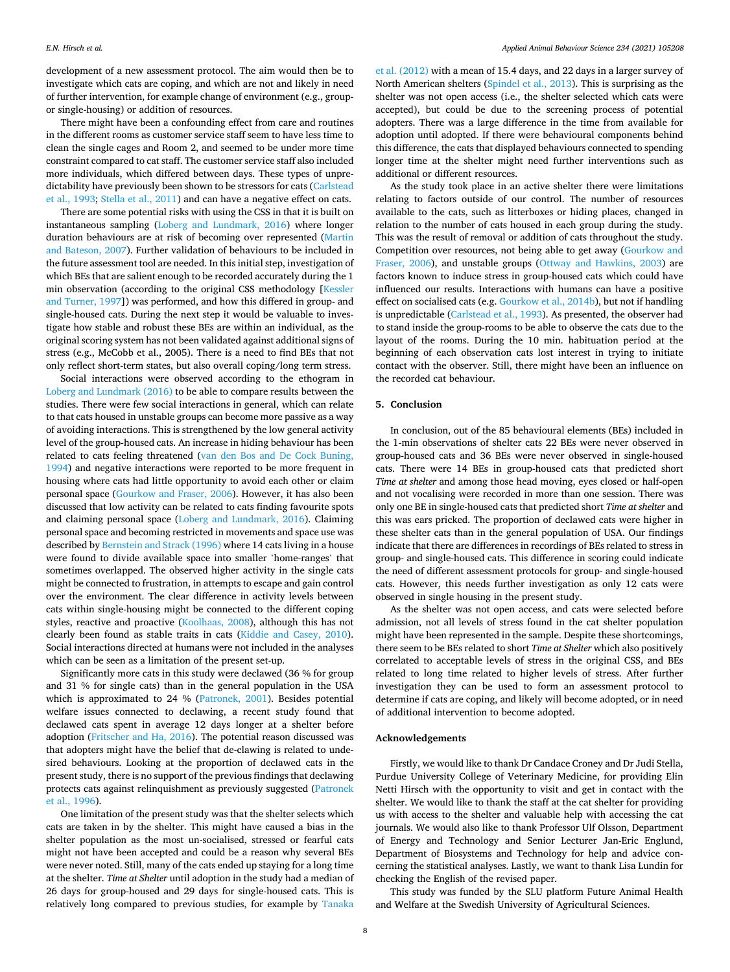development of a new assessment protocol. The aim would then be to investigate which cats are coping, and which are not and likely in need of further intervention, for example change of environment (e.g., groupor single-housing) or addition of resources.

There might have been a confounding effect from care and routines in the different rooms as customer service staff seem to have less time to clean the single cages and Room 2, and seemed to be under more time constraint compared to cat staff. The customer service staff also included more individuals, which differed between days. These types of unpredictability have previously been shown to be stressors for cats (Carlstead [et al., 1993; Stella et al., 2011\)](#page-8-0) and can have a negative effect on cats.

There are some potential risks with using the CSS in that it is built on instantaneous sampling ([Loberg and Lundmark, 2016\)](#page-8-0) where longer duration behaviours are at risk of becoming over represented ([Martin](#page-8-0)  [and Bateson, 2007](#page-8-0)). Further validation of behaviours to be included in the future assessment tool are needed. In this initial step, investigation of which BEs that are salient enough to be recorded accurately during the 1 min observation (according to the original CSS methodology [[Kessler](#page-8-0)  [and Turner, 1997](#page-8-0)]) was performed, and how this differed in group- and single-housed cats. During the next step it would be valuable to investigate how stable and robust these BEs are within an individual, as the original scoring system has not been validated against additional signs of stress (e.g., McCobb et al., 2005). There is a need to find BEs that not only reflect short-term states, but also overall coping/long term stress.

Social interactions were observed according to the ethogram in [Loberg and Lundmark \(2016\)](#page-8-0) to be able to compare results between the studies. There were few social interactions in general, which can relate to that cats housed in unstable groups can become more passive as a way of avoiding interactions. This is strengthened by the low general activity level of the group-housed cats. An increase in hiding behaviour has been related to cats feeling threatened [\(van den Bos and De Cock Buning,](#page-8-0)  [1994\)](#page-8-0) and negative interactions were reported to be more frequent in housing where cats had little opportunity to avoid each other or claim personal space ([Gourkow and Fraser, 2006\)](#page-8-0). However, it has also been discussed that low activity can be related to cats finding favourite spots and claiming personal space ([Loberg and Lundmark, 2016\)](#page-8-0). Claiming personal space and becoming restricted in movements and space use was described by [Bernstein and Strack \(1996\)](#page-8-0) where 14 cats living in a house were found to divide available space into smaller 'home-ranges' that sometimes overlapped. The observed higher activity in the single cats might be connected to frustration, in attempts to escape and gain control over the environment. The clear difference in activity levels between cats within single-housing might be connected to the different coping styles, reactive and proactive ([Koolhaas, 2008\)](#page-8-0), although this has not clearly been found as stable traits in cats [\(Kiddie and Casey, 2010](#page-8-0)). Social interactions directed at humans were not included in the analyses which can be seen as a limitation of the present set-up.

Significantly more cats in this study were declawed (36 % for group and 31 % for single cats) than in the general population in the USA which is approximated to 24 % ([Patronek, 2001](#page-8-0)). Besides potential welfare issues connected to declawing, a recent study found that declawed cats spent in average 12 days longer at a shelter before adoption [\(Fritscher and Ha, 2016](#page-8-0)). The potential reason discussed was that adopters might have the belief that de-clawing is related to undesired behaviours. Looking at the proportion of declawed cats in the present study, there is no support of the previous findings that declawing protects cats against relinquishment as previously suggested [\(Patronek](#page-8-0)  [et al., 1996\)](#page-8-0).

One limitation of the present study was that the shelter selects which cats are taken in by the shelter. This might have caused a bias in the shelter population as the most un-socialised, stressed or fearful cats might not have been accepted and could be a reason why several BEs were never noted. Still, many of the cats ended up staying for a long time at the shelter. *Time at Shelter* until adoption in the study had a median of 26 days for group-housed and 29 days for single-housed cats. This is relatively long compared to previous studies, for example by [Tanaka](#page-8-0) 

[et al. \(2012\)](#page-8-0) with a mean of 15.4 days, and 22 days in a larger survey of North American shelters ([Spindel et al., 2013\)](#page-8-0). This is surprising as the shelter was not open access (i.e., the shelter selected which cats were accepted), but could be due to the screening process of potential adopters. There was a large difference in the time from available for adoption until adopted. If there were behavioural components behind this difference, the cats that displayed behaviours connected to spending longer time at the shelter might need further interventions such as additional or different resources.

As the study took place in an active shelter there were limitations relating to factors outside of our control. The number of resources available to the cats, such as litterboxes or hiding places, changed in relation to the number of cats housed in each group during the study. This was the result of removal or addition of cats throughout the study. Competition over resources, not being able to get away ([Gourkow and](#page-8-0)  [Fraser, 2006\)](#page-8-0), and unstable groups [\(Ottway and Hawkins, 2003](#page-8-0)) are factors known to induce stress in group-housed cats which could have influenced our results. Interactions with humans can have a positive effect on socialised cats (e.g. [Gourkow et al., 2014b\)](#page-8-0), but not if handling is unpredictable ([Carlstead et al., 1993\)](#page-8-0). As presented, the observer had to stand inside the group-rooms to be able to observe the cats due to the layout of the rooms. During the 10 min. habituation period at the beginning of each observation cats lost interest in trying to initiate contact with the observer. Still, there might have been an influence on the recorded cat behaviour.

## **5. Conclusion**

In conclusion, out of the 85 behavioural elements (BEs) included in the 1-min observations of shelter cats 22 BEs were never observed in group-housed cats and 36 BEs were never observed in single-housed cats. There were 14 BEs in group-housed cats that predicted short *Time at shelter* and among those head moving, eyes closed or half-open and not vocalising were recorded in more than one session. There was only one BE in single-housed cats that predicted short *Time at shelter* and this was ears pricked. The proportion of declawed cats were higher in these shelter cats than in the general population of USA. Our findings indicate that there are differences in recordings of BEs related to stress in group- and single-housed cats. This difference in scoring could indicate the need of different assessment protocols for group- and single-housed cats. However, this needs further investigation as only 12 cats were observed in single housing in the present study.

As the shelter was not open access, and cats were selected before admission, not all levels of stress found in the cat shelter population might have been represented in the sample. Despite these shortcomings, there seem to be BEs related to short *Time at Shelter* which also positively correlated to acceptable levels of stress in the original CSS, and BEs related to long time related to higher levels of stress. After further investigation they can be used to form an assessment protocol to determine if cats are coping, and likely will become adopted, or in need of additional intervention to become adopted.

## **Acknowledgements**

Firstly, we would like to thank Dr Candace Croney and Dr Judi Stella, Purdue University College of Veterinary Medicine, for providing Elin Netti Hirsch with the opportunity to visit and get in contact with the shelter. We would like to thank the staff at the cat shelter for providing us with access to the shelter and valuable help with accessing the cat journals. We would also like to thank Professor Ulf Olsson, Department of Energy and Technology and Senior Lecturer Jan-Eric Englund, Department of Biosystems and Technology for help and advice concerning the statistical analyses. Lastly, we want to thank Lisa Lundin for checking the English of the revised paper.

This study was funded by the SLU platform Future Animal Health and Welfare at the Swedish University of Agricultural Sciences.